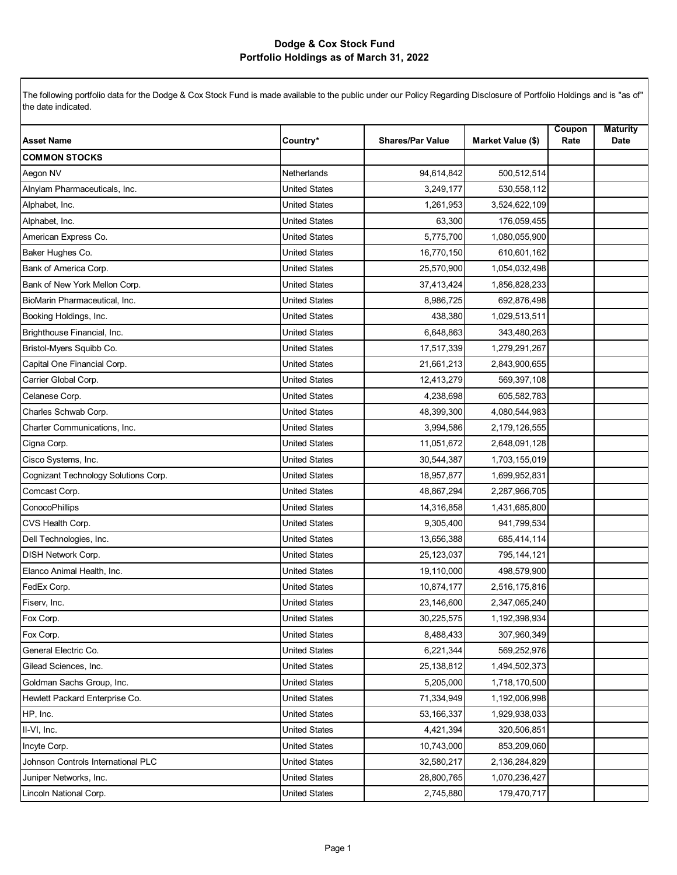## **Dodge & Cox Stock Fund Portfolio Holdings as of March 31, 2022**

The following portfolio data for the Dodge & Cox Stock Fund is made available to the public under our Policy Regarding Disclosure of Portfolio Holdings and is "as of" the date indicated.

| <b>Asset Name</b>                    | Country*             | <b>Shares/Par Value</b> | Market Value (\$) | Coupon<br>Rate | <b>Maturity</b><br>Date |
|--------------------------------------|----------------------|-------------------------|-------------------|----------------|-------------------------|
| <b>COMMON STOCKS</b>                 |                      |                         |                   |                |                         |
| Aegon NV                             | Netherlands          | 94,614,842              | 500,512,514       |                |                         |
| Alnylam Pharmaceuticals, Inc.        | <b>United States</b> | 3,249,177               | 530,558,112       |                |                         |
| Alphabet, Inc.                       | <b>United States</b> | 1,261,953               | 3,524,622,109     |                |                         |
| Alphabet, Inc.                       | <b>United States</b> | 63,300                  | 176,059,455       |                |                         |
| American Express Co.                 | <b>United States</b> | 5,775,700               | 1,080,055,900     |                |                         |
| Baker Hughes Co.                     | <b>United States</b> | 16,770,150              | 610,601,162       |                |                         |
| Bank of America Corp.                | <b>United States</b> | 25,570,900              | 1,054,032,498     |                |                         |
| Bank of New York Mellon Corp.        | <b>United States</b> | 37,413,424              | 1,856,828,233     |                |                         |
| BioMarin Pharmaceutical, Inc.        | <b>United States</b> | 8,986,725               | 692,876,498       |                |                         |
| Booking Holdings, Inc.               | <b>United States</b> | 438,380                 | 1,029,513,511     |                |                         |
| Brighthouse Financial, Inc.          | <b>United States</b> | 6,648,863               | 343,480,263       |                |                         |
| Bristol-Myers Squibb Co.             | <b>United States</b> | 17,517,339              | 1,279,291,267     |                |                         |
| Capital One Financial Corp.          | <b>United States</b> | 21,661,213              | 2,843,900,655     |                |                         |
| Carrier Global Corp.                 | <b>United States</b> | 12,413,279              | 569,397,108       |                |                         |
| Celanese Corp.                       | <b>United States</b> | 4,238,698               | 605,582,783       |                |                         |
| Charles Schwab Corp.                 | <b>United States</b> | 48,399,300              | 4,080,544,983     |                |                         |
| Charter Communications, Inc.         | <b>United States</b> | 3,994,586               | 2,179,126,555     |                |                         |
| Cigna Corp.                          | <b>United States</b> | 11,051,672              | 2,648,091,128     |                |                         |
| Cisco Systems, Inc.                  | <b>United States</b> | 30,544,387              | 1,703,155,019     |                |                         |
| Cognizant Technology Solutions Corp. | <b>United States</b> | 18,957,877              | 1,699,952,831     |                |                         |
| Comcast Corp.                        | <b>United States</b> | 48,867,294              | 2,287,966,705     |                |                         |
| ConocoPhillips                       | <b>United States</b> | 14,316,858              | 1,431,685,800     |                |                         |
| CVS Health Corp.                     | <b>United States</b> | 9,305,400               | 941,799,534       |                |                         |
| Dell Technologies, Inc.              | <b>United States</b> | 13,656,388              | 685,414,114       |                |                         |
| <b>DISH Network Corp.</b>            | <b>United States</b> | 25,123,037              | 795,144,121       |                |                         |
| Elanco Animal Health, Inc.           | <b>United States</b> | 19,110,000              | 498,579,900       |                |                         |
| FedEx Corp.                          | <b>United States</b> | 10,874,177              | 2,516,175,816     |                |                         |
| Fiserv, Inc.                         | <b>United States</b> | 23,146,600              | 2,347,065,240     |                |                         |
| Fox Corp.                            | <b>United States</b> | 30,225,575              | 1,192,398,934     |                |                         |
| Fox Corp.                            | <b>United States</b> | 8,488,433               | 307,960,349       |                |                         |
| General Electric Co.                 | United States        | 6,221,344               | 569,252,976       |                |                         |
| Gilead Sciences, Inc.                | <b>United States</b> | 25,138,812              | 1,494,502,373     |                |                         |
| Goldman Sachs Group, Inc.            | <b>United States</b> | 5,205,000               | 1,718,170,500     |                |                         |
| Hewlett Packard Enterprise Co.       | United States        | 71,334,949              | 1,192,006,998     |                |                         |
| HP, Inc.                             | <b>United States</b> | 53,166,337              | 1,929,938,033     |                |                         |
| II-VI, Inc.                          | United States        | 4,421,394               | 320,506,851       |                |                         |
| Incyte Corp.                         | <b>United States</b> | 10,743,000              | 853,209,060       |                |                         |
| Johnson Controls International PLC   | United States        | 32,580,217              | 2,136,284,829     |                |                         |
| Juniper Networks, Inc.               | <b>United States</b> | 28,800,765              | 1,070,236,427     |                |                         |
| Lincoln National Corp.               | <b>United States</b> | 2,745,880               | 179,470,717       |                |                         |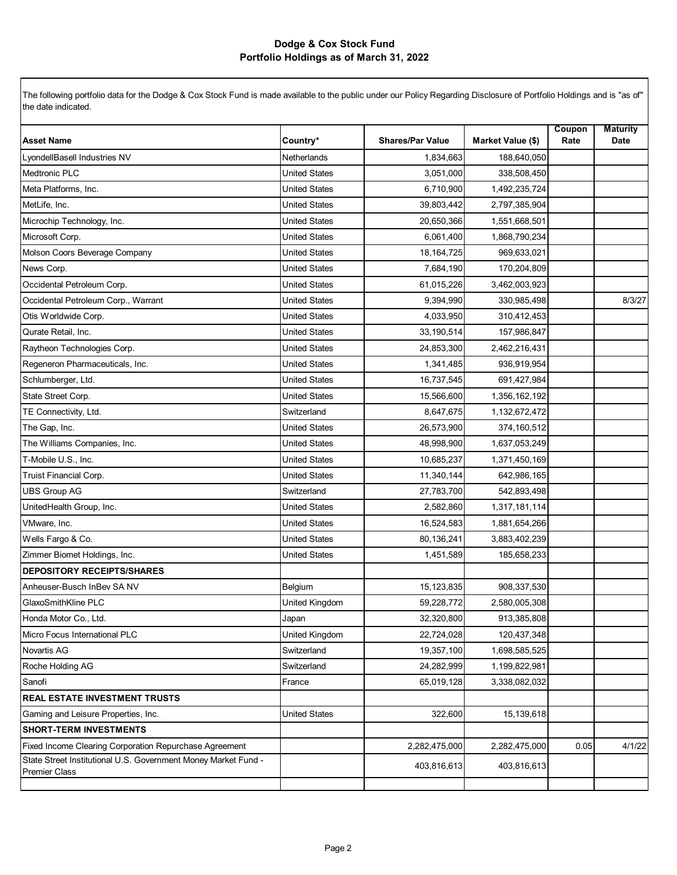## **Dodge & Cox Stock Fund Portfolio Holdings as of March 31, 2022**

The following portfolio data for the Dodge & Cox Stock Fund is made available to the public under our Policy Regarding Disclosure of Portfolio Holdings and is "as of" the date indicated.

| <b>Asset Name</b>                                                                      | Country*             | <b>Shares/Par Value</b> | Market Value (\$) | Coupon<br>Rate | <b>Maturity</b><br>Date |
|----------------------------------------------------------------------------------------|----------------------|-------------------------|-------------------|----------------|-------------------------|
| LyondellBasell Industries NV                                                           | <b>Netherlands</b>   | 1,834,663               | 188,640,050       |                |                         |
| <b>Medtronic PLC</b>                                                                   | <b>United States</b> | 3,051,000               | 338,508,450       |                |                         |
| Meta Platforms, Inc.                                                                   | <b>United States</b> | 6,710,900               | 1,492,235,724     |                |                         |
| MetLife, Inc.                                                                          | <b>United States</b> | 39,803,442              | 2,797,385,904     |                |                         |
| Microchip Technology, Inc.                                                             | <b>United States</b> | 20,650,366              | 1,551,668,501     |                |                         |
| Microsoft Corp.                                                                        | <b>United States</b> | 6,061,400               | 1,868,790,234     |                |                         |
| Molson Coors Beverage Company                                                          | United States        | 18, 164, 725            | 969,633,021       |                |                         |
| News Corp.                                                                             | <b>United States</b> | 7,684,190               | 170,204,809       |                |                         |
| Occidental Petroleum Corp.                                                             | <b>United States</b> | 61,015,226              | 3,462,003,923     |                |                         |
| Occidental Petroleum Corp., Warrant                                                    | <b>United States</b> | 9,394,990               | 330,985,498       |                | 8/3/27                  |
| Otis Worldwide Corp.                                                                   | <b>United States</b> | 4,033,950               | 310,412,453       |                |                         |
| Qurate Retail, Inc.                                                                    | <b>United States</b> | 33,190,514              | 157,986,847       |                |                         |
| Raytheon Technologies Corp.                                                            | <b>United States</b> | 24,853,300              | 2,462,216,431     |                |                         |
| Regeneron Pharmaceuticals, Inc.                                                        | <b>United States</b> | 1,341,485               | 936,919,954       |                |                         |
| Schlumberger, Ltd.                                                                     | <b>United States</b> | 16,737,545              | 691,427,984       |                |                         |
| State Street Corp.                                                                     | <b>United States</b> | 15,566,600              | 1,356,162,192     |                |                         |
| TE Connectivity, Ltd.                                                                  | Switzerland          | 8,647,675               | 1,132,672,472     |                |                         |
| The Gap, Inc.                                                                          | <b>United States</b> | 26,573,900              | 374,160,512       |                |                         |
| The Williams Companies, Inc.                                                           | <b>United States</b> | 48,998,900              | 1,637,053,249     |                |                         |
| T-Mobile U.S., Inc.                                                                    | <b>United States</b> | 10,685,237              | 1,371,450,169     |                |                         |
| Truist Financial Corp.                                                                 | <b>United States</b> | 11,340,144              | 642,986,165       |                |                         |
| <b>UBS Group AG</b>                                                                    | Switzerland          | 27,783,700              | 542,893,498       |                |                         |
| UnitedHealth Group, Inc.                                                               | <b>United States</b> | 2,582,860               | 1,317,181,114     |                |                         |
| VMware, Inc.                                                                           | <b>United States</b> | 16,524,583              | 1,881,654,266     |                |                         |
| Wells Fargo & Co.                                                                      | <b>United States</b> | 80,136,241              | 3,883,402,239     |                |                         |
| Zimmer Biomet Holdings, Inc.                                                           | <b>United States</b> | 1,451,589               | 185,658,233       |                |                         |
| <b>DEPOSITORY RECEIPTS/SHARES</b>                                                      |                      |                         |                   |                |                         |
| Anheuser-Busch InBev SA NV                                                             | Belgium              | 15,123,835              | 908,337,530       |                |                         |
| GlaxoSmithKline PLC                                                                    | United Kingdom       | 59,228,772              | 2,580,005,308     |                |                         |
| Honda Motor Co., Ltd.                                                                  | Japan                | 32,320,800              | 913,385,808       |                |                         |
| Micro Focus International PLC                                                          | United Kingdom       | 22,724,028              | 120,437,348       |                |                         |
| Novartis AG                                                                            | Switzerland          | 19,357,100              | 1,698,585,525     |                |                         |
| Roche Holding AG                                                                       | Switzerland          | 24,282,999              | 1,199,822,981     |                |                         |
| Sanofi                                                                                 | France               | 65,019,128              | 3,338,082,032     |                |                         |
| <b>REAL ESTATE INVESTMENT TRUSTS</b>                                                   |                      |                         |                   |                |                         |
| Gaming and Leisure Properties, Inc.                                                    | <b>United States</b> | 322,600                 | 15,139,618        |                |                         |
| <b>SHORT-TERM INVESTMENTS</b>                                                          |                      |                         |                   |                |                         |
| Fixed Income Clearing Corporation Repurchase Agreement                                 |                      | 2,282,475,000           | 2,282,475,000     | 0.05           | 4/1/22                  |
| State Street Institutional U.S. Government Money Market Fund -<br><b>Premier Class</b> |                      | 403,816,613             | 403,816,613       |                |                         |
|                                                                                        |                      |                         |                   |                |                         |